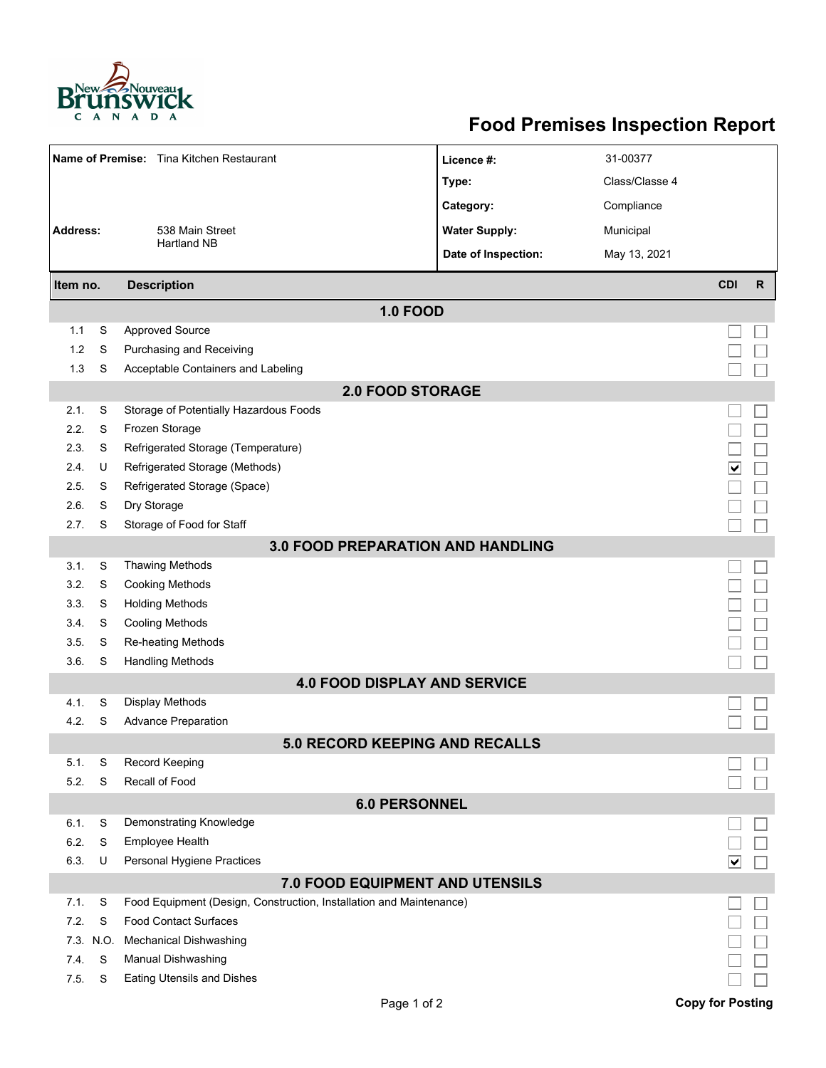

## **Food Premises Inspection Report**

| Name of Premise: Tina Kitchen Restaurant |      |                                                                     | Licence #:           | 31-00377       |                         |              |  |  |  |  |  |  |
|------------------------------------------|------|---------------------------------------------------------------------|----------------------|----------------|-------------------------|--------------|--|--|--|--|--|--|
|                                          |      |                                                                     | Type:                | Class/Classe 4 |                         |              |  |  |  |  |  |  |
|                                          |      |                                                                     | Category:            | Compliance     |                         |              |  |  |  |  |  |  |
| <b>Address:</b>                          |      | 538 Main Street                                                     | <b>Water Supply:</b> | Municipal      |                         |              |  |  |  |  |  |  |
|                                          |      | <b>Hartland NB</b>                                                  | Date of Inspection:  | May 13, 2021   |                         |              |  |  |  |  |  |  |
|                                          |      |                                                                     |                      |                |                         |              |  |  |  |  |  |  |
| Item no.                                 |      | <b>Description</b>                                                  |                      |                | <b>CDI</b>              | $\mathsf{R}$ |  |  |  |  |  |  |
| <b>1.0 FOOD</b>                          |      |                                                                     |                      |                |                         |              |  |  |  |  |  |  |
| 1.1                                      | S    | <b>Approved Source</b>                                              |                      |                |                         |              |  |  |  |  |  |  |
| 1.2                                      | S    | Purchasing and Receiving                                            |                      |                |                         |              |  |  |  |  |  |  |
| 1.3                                      | S    | Acceptable Containers and Labeling                                  |                      |                |                         |              |  |  |  |  |  |  |
| <b>2.0 FOOD STORAGE</b>                  |      |                                                                     |                      |                |                         |              |  |  |  |  |  |  |
| 2.1.                                     | S    | Storage of Potentially Hazardous Foods                              |                      |                |                         |              |  |  |  |  |  |  |
| 2.2.                                     | S    | Frozen Storage                                                      |                      |                |                         |              |  |  |  |  |  |  |
| 2.3.                                     | S    | Refrigerated Storage (Temperature)                                  |                      |                |                         |              |  |  |  |  |  |  |
| 2.4.                                     | U    | Refrigerated Storage (Methods)                                      |                      |                | ∣V∣                     |              |  |  |  |  |  |  |
| 2.5.                                     | S    | Refrigerated Storage (Space)                                        |                      |                |                         |              |  |  |  |  |  |  |
| 2.6.                                     | S    | Dry Storage                                                         |                      |                |                         |              |  |  |  |  |  |  |
| 2.7.                                     | S    | Storage of Food for Staff                                           |                      |                |                         |              |  |  |  |  |  |  |
|                                          |      | <b>3.0 FOOD PREPARATION AND HANDLING</b>                            |                      |                |                         |              |  |  |  |  |  |  |
| 3.1.                                     | S    | <b>Thawing Methods</b>                                              |                      |                |                         |              |  |  |  |  |  |  |
| 3.2.                                     | S    | <b>Cooking Methods</b>                                              |                      |                |                         |              |  |  |  |  |  |  |
| 3.3.                                     | S    | <b>Holding Methods</b>                                              |                      |                |                         |              |  |  |  |  |  |  |
| 3.4.                                     | S    | <b>Cooling Methods</b>                                              |                      |                |                         |              |  |  |  |  |  |  |
| 3.5.                                     | S    | <b>Re-heating Methods</b>                                           |                      |                |                         |              |  |  |  |  |  |  |
| 3.6.                                     | S    | <b>Handling Methods</b>                                             |                      |                |                         |              |  |  |  |  |  |  |
|                                          |      | <b>4.0 FOOD DISPLAY AND SERVICE</b>                                 |                      |                |                         |              |  |  |  |  |  |  |
| 4.1.                                     | S    | Display Methods                                                     |                      |                |                         |              |  |  |  |  |  |  |
| 4.2.                                     | S    | <b>Advance Preparation</b>                                          |                      |                |                         |              |  |  |  |  |  |  |
|                                          |      | 5 0 RECORD KEEPING AND RECALLS                                      |                      |                |                         |              |  |  |  |  |  |  |
| 5.1.                                     | S    | Record Keeping                                                      |                      |                |                         |              |  |  |  |  |  |  |
| 5.2.                                     | S    | Recall of Food                                                      |                      |                |                         |              |  |  |  |  |  |  |
|                                          |      | <b>6.0 PERSONNEL</b>                                                |                      |                |                         |              |  |  |  |  |  |  |
| 6.1.                                     | S    | Demonstrating Knowledge                                             |                      |                |                         |              |  |  |  |  |  |  |
| 6.2.                                     | S    | Employee Health                                                     |                      |                |                         |              |  |  |  |  |  |  |
| 6.3.                                     | U    | Personal Hygiene Practices                                          |                      |                | V                       |              |  |  |  |  |  |  |
| 7.0 FOOD EQUIPMENT AND UTENSILS          |      |                                                                     |                      |                |                         |              |  |  |  |  |  |  |
| 7.1.                                     | S    | Food Equipment (Design, Construction, Installation and Maintenance) |                      |                |                         |              |  |  |  |  |  |  |
| 7.2.                                     | S    | <b>Food Contact Surfaces</b>                                        |                      |                |                         |              |  |  |  |  |  |  |
| 7.3.                                     | N.O. | <b>Mechanical Dishwashing</b>                                       |                      |                |                         |              |  |  |  |  |  |  |
| 7.4.                                     | S    | Manual Dishwashing                                                  |                      |                |                         |              |  |  |  |  |  |  |
| 7.5                                      | S    | <b>Eating Utensils and Dishes</b>                                   |                      |                |                         |              |  |  |  |  |  |  |
|                                          |      | Page 1 of 2                                                         |                      |                | <b>Copy for Posting</b> |              |  |  |  |  |  |  |